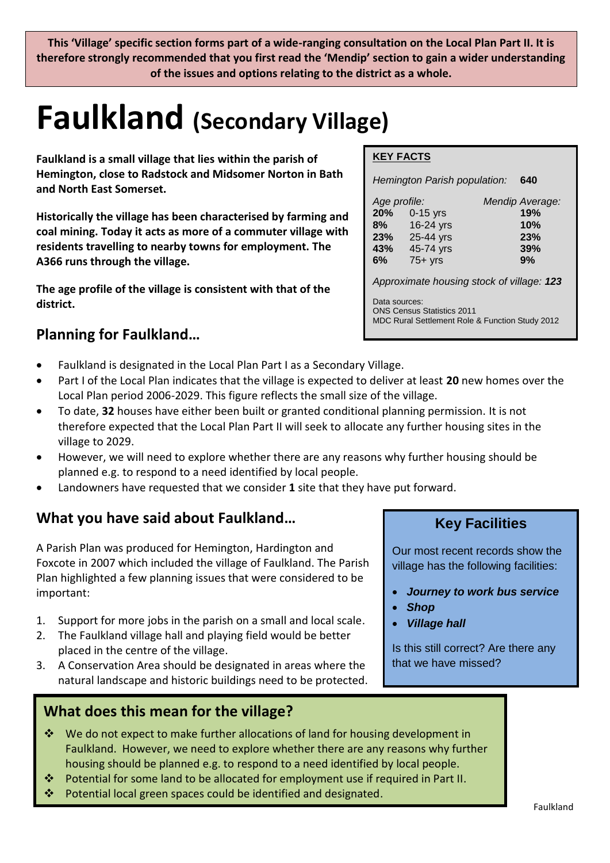**This 'Village' specific section forms part of a wide-ranging consultation on the Local Plan Part II. It is therefore strongly recommended that you first read the 'Mendip' section to gain a wider understanding of the issues and options relating to the district as a whole.** 

# **Faulkland (Secondary Village)**

**Faulkland is a small village that lies within the parish of Hemington, close to Radstock and Midsomer Norton in Bath and North East Somerset.** 

**Historically the village has been characterised by farming and coal mining. Today it acts as more of a commuter village with residents travelling to nearby towns for employment. The A366 runs through the village.**

**The age profile of the village is consistent with that of the district.** 

# **Planning for Faulkland…**

- Faulkland is designated in the Local Plan Part I as a Secondary Village.
- Part I of the Local Plan indicates that the village is expected to deliver at least **20** new homes over the Local Plan period 2006-2029. This figure reflects the small size of the village.
- To date, **32** houses have either been built or granted conditional planning permission. It is not therefore expected that the Local Plan Part II will seek to allocate any further housing sites in the village to 2029.
- However, we will need to explore whether there are any reasons why further housing should be planned e.g. to respond to a need identified by local people.
- Landowners have requested that we consider **1** site that they have put forward.

# **What you have said about Faulkland…**

A Parish Plan was produced for Hemington, Hardington and Foxcote in 2007 which included the village of Faulkland. The Parish Plan highlighted a few planning issues that were considered to be important:

- 1. Support for more jobs in the parish on a small and local scale.
- 2. The Faulkland village hall and playing field would be better placed in the centre of the village.
- 3. A Conservation Area should be designated in areas where the natural landscape and historic buildings need to be protected.

# **What does this mean for the village?**

- We do not expect to make further allocations of land for housing development in Faulkland. However, we need to explore whether there are any reasons why further housing should be planned e.g. to respond to a need identified by local people.
- Potential for some land to be allocated for employment use if required in Part II.
- Potential local green spaces could be identified and designated.

#### **KEY FACTS**

*Hemington Parish population:* **640**

| Age profile: |              | Mendip Average: |
|--------------|--------------|-----------------|
|              | 20% 0-15 yrs | 19%             |
| 8%           | 16-24 yrs    | 10%             |
| 23%          | 25-44 yrs    | 23%             |
| 43%          | 45-74 yrs    | 39%             |
| 6%           | $75+$ yrs    | 9%              |
|              |              |                 |

*Approximate housing stock of village: 123*

Data sources: ONS Census Statistics 2011 MDC Rural Settlement Role & Function Study 2012

# **Key Facilities**

Our most recent records show the village has the following facilities:

- *Journey to work bus service*
- *Shop*
- *Village hall*

Is this still correct? Are there any that we have missed?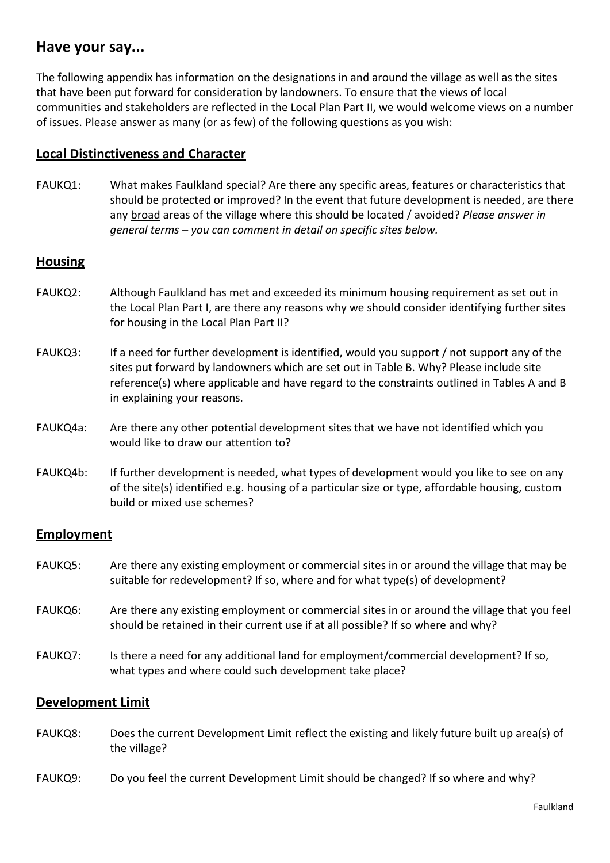### **Have your say...**

The following appendix has information on the designations in and around the village as well as the sites that have been put forward for consideration by landowners. To ensure that the views of local communities and stakeholders are reflected in the Local Plan Part II, we would welcome views on a number of issues. Please answer as many (or as few) of the following questions as you wish:

#### **Local Distinctiveness and Character**

FAUKQ1: What makes Faulkland special? Are there any specific areas, features or characteristics that should be protected or improved? In the event that future development is needed, are there any broad areas of the village where this should be located / avoided? *Please answer in general terms – you can comment in detail on specific sites below.*

#### **Housing**

- FAUKQ2: Although Faulkland has met and exceeded its minimum housing requirement as set out in the Local Plan Part I, are there any reasons why we should consider identifying further sites for housing in the Local Plan Part II?
- FAUKQ3: If a need for further development is identified, would you support / not support any of the sites put forward by landowners which are set out in Table B. Why? Please include site reference(s) where applicable and have regard to the constraints outlined in Tables A and B in explaining your reasons.
- FAUKQ4a: Are there any other potential development sites that we have not identified which you would like to draw our attention to?
- FAUKQ4b: If further development is needed, what types of development would you like to see on any of the site(s) identified e.g. housing of a particular size or type, affordable housing, custom build or mixed use schemes?

#### **Employment**

- FAUKQ5: Are there any existing employment or commercial sites in or around the village that may be suitable for redevelopment? If so, where and for what type(s) of development?
- FAUKQ6: Are there any existing employment or commercial sites in or around the village that you feel should be retained in their current use if at all possible? If so where and why?
- FAUKQ7: Is there a need for any additional land for employment/commercial development? If so, what types and where could such development take place?

#### **Development Limit**

- FAUKQ8: Does the current Development Limit reflect the existing and likely future built up area(s) of the village?
- FAUKQ9: Do you feel the current Development Limit should be changed? If so where and why?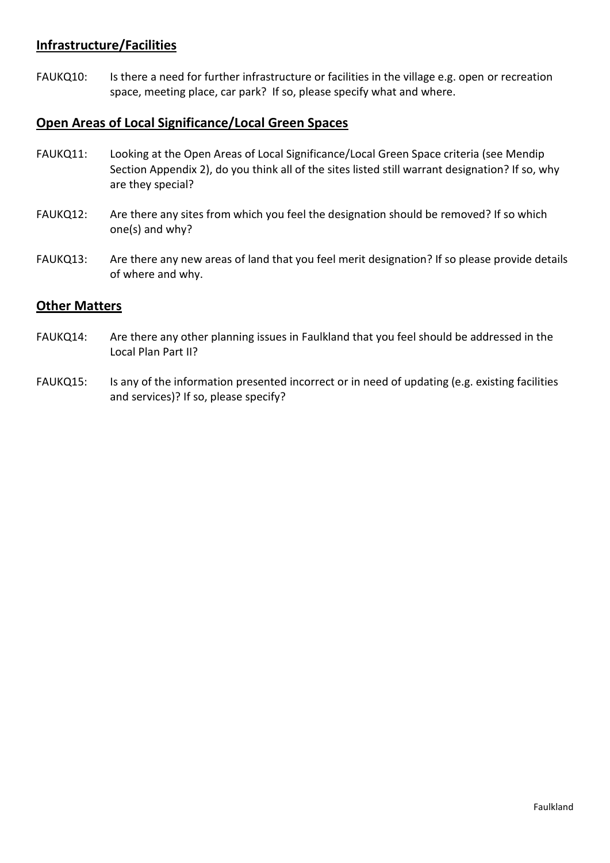#### **Infrastructure/Facilities**

FAUKQ10: Is there a need for further infrastructure or facilities in the village e.g. open or recreation space, meeting place, car park? If so, please specify what and where.

#### **Open Areas of Local Significance/Local Green Spaces**

- FAUKQ11: Looking at the Open Areas of Local Significance/Local Green Space criteria (see Mendip Section Appendix 2), do you think all of the sites listed still warrant designation? If so, why are they special?
- FAUKQ12: Are there any sites from which you feel the designation should be removed? If so which one(s) and why?
- FAUKQ13: Are there any new areas of land that you feel merit designation? If so please provide details of where and why.

#### **Other Matters**

- FAUKQ14: Are there any other planning issues in Faulkland that you feel should be addressed in the Local Plan Part II?
- FAUKQ15: Is any of the information presented incorrect or in need of updating (e.g. existing facilities and services)? If so, please specify?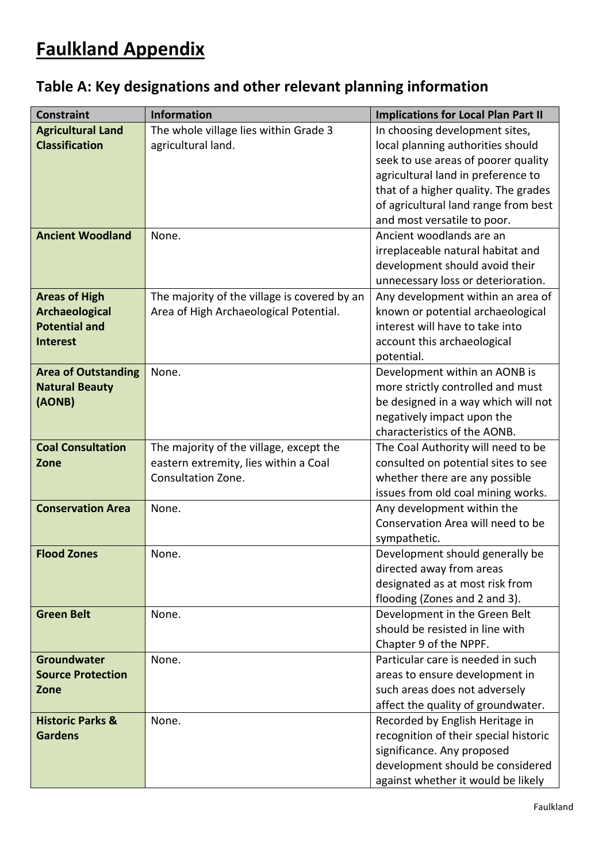# **Faulkland Appendix**

| Table A: Key designations and other relevant planning information |  |  |
|-------------------------------------------------------------------|--|--|
|-------------------------------------------------------------------|--|--|

| The whole village lies within Grade 3<br><b>Agricultural Land</b><br>In choosing development sites,<br><b>Classification</b><br>agricultural land.<br>local planning authorities should<br>seek to use areas of poorer quality<br>agricultural land in preference to<br>that of a higher quality. The grades<br>of agricultural land range from best<br>and most versatile to poor.<br><b>Ancient Woodland</b><br>Ancient woodlands are an<br>None.<br>irreplaceable natural habitat and<br>development should avoid their<br>unnecessary loss or deterioration.<br>The majority of the village is covered by an<br><b>Areas of High</b><br>Any development within an area of<br>Archaeological<br>Area of High Archaeological Potential.<br>known or potential archaeological<br><b>Potential and</b><br>interest will have to take into |
|-------------------------------------------------------------------------------------------------------------------------------------------------------------------------------------------------------------------------------------------------------------------------------------------------------------------------------------------------------------------------------------------------------------------------------------------------------------------------------------------------------------------------------------------------------------------------------------------------------------------------------------------------------------------------------------------------------------------------------------------------------------------------------------------------------------------------------------------|
|                                                                                                                                                                                                                                                                                                                                                                                                                                                                                                                                                                                                                                                                                                                                                                                                                                           |
|                                                                                                                                                                                                                                                                                                                                                                                                                                                                                                                                                                                                                                                                                                                                                                                                                                           |
|                                                                                                                                                                                                                                                                                                                                                                                                                                                                                                                                                                                                                                                                                                                                                                                                                                           |
|                                                                                                                                                                                                                                                                                                                                                                                                                                                                                                                                                                                                                                                                                                                                                                                                                                           |
|                                                                                                                                                                                                                                                                                                                                                                                                                                                                                                                                                                                                                                                                                                                                                                                                                                           |
|                                                                                                                                                                                                                                                                                                                                                                                                                                                                                                                                                                                                                                                                                                                                                                                                                                           |
|                                                                                                                                                                                                                                                                                                                                                                                                                                                                                                                                                                                                                                                                                                                                                                                                                                           |
|                                                                                                                                                                                                                                                                                                                                                                                                                                                                                                                                                                                                                                                                                                                                                                                                                                           |
|                                                                                                                                                                                                                                                                                                                                                                                                                                                                                                                                                                                                                                                                                                                                                                                                                                           |
|                                                                                                                                                                                                                                                                                                                                                                                                                                                                                                                                                                                                                                                                                                                                                                                                                                           |
|                                                                                                                                                                                                                                                                                                                                                                                                                                                                                                                                                                                                                                                                                                                                                                                                                                           |
|                                                                                                                                                                                                                                                                                                                                                                                                                                                                                                                                                                                                                                                                                                                                                                                                                                           |
|                                                                                                                                                                                                                                                                                                                                                                                                                                                                                                                                                                                                                                                                                                                                                                                                                                           |
|                                                                                                                                                                                                                                                                                                                                                                                                                                                                                                                                                                                                                                                                                                                                                                                                                                           |
| account this archaeological<br><b>Interest</b>                                                                                                                                                                                                                                                                                                                                                                                                                                                                                                                                                                                                                                                                                                                                                                                            |
| potential.                                                                                                                                                                                                                                                                                                                                                                                                                                                                                                                                                                                                                                                                                                                                                                                                                                |
| Development within an AONB is<br><b>Area of Outstanding</b><br>None.                                                                                                                                                                                                                                                                                                                                                                                                                                                                                                                                                                                                                                                                                                                                                                      |
| <b>Natural Beauty</b><br>more strictly controlled and must                                                                                                                                                                                                                                                                                                                                                                                                                                                                                                                                                                                                                                                                                                                                                                                |
| (AONB)<br>be designed in a way which will not                                                                                                                                                                                                                                                                                                                                                                                                                                                                                                                                                                                                                                                                                                                                                                                             |
| negatively impact upon the                                                                                                                                                                                                                                                                                                                                                                                                                                                                                                                                                                                                                                                                                                                                                                                                                |
| characteristics of the AONB.                                                                                                                                                                                                                                                                                                                                                                                                                                                                                                                                                                                                                                                                                                                                                                                                              |
| <b>Coal Consultation</b><br>The majority of the village, except the<br>The Coal Authority will need to be                                                                                                                                                                                                                                                                                                                                                                                                                                                                                                                                                                                                                                                                                                                                 |
| eastern extremity, lies within a Coal<br>consulted on potential sites to see<br>Zone                                                                                                                                                                                                                                                                                                                                                                                                                                                                                                                                                                                                                                                                                                                                                      |
| Consultation Zone.<br>whether there are any possible                                                                                                                                                                                                                                                                                                                                                                                                                                                                                                                                                                                                                                                                                                                                                                                      |
| issues from old coal mining works.                                                                                                                                                                                                                                                                                                                                                                                                                                                                                                                                                                                                                                                                                                                                                                                                        |
| <b>Conservation Area</b><br>Any development within the<br>None.                                                                                                                                                                                                                                                                                                                                                                                                                                                                                                                                                                                                                                                                                                                                                                           |
| Conservation Area will need to be                                                                                                                                                                                                                                                                                                                                                                                                                                                                                                                                                                                                                                                                                                                                                                                                         |
| sympathetic.                                                                                                                                                                                                                                                                                                                                                                                                                                                                                                                                                                                                                                                                                                                                                                                                                              |
| <b>Flood Zones</b><br>None.<br>Development should generally be                                                                                                                                                                                                                                                                                                                                                                                                                                                                                                                                                                                                                                                                                                                                                                            |
| directed away from areas                                                                                                                                                                                                                                                                                                                                                                                                                                                                                                                                                                                                                                                                                                                                                                                                                  |
| designated as at most risk from                                                                                                                                                                                                                                                                                                                                                                                                                                                                                                                                                                                                                                                                                                                                                                                                           |
| flooding (Zones and 2 and 3).<br><b>Green Belt</b>                                                                                                                                                                                                                                                                                                                                                                                                                                                                                                                                                                                                                                                                                                                                                                                        |
| Development in the Green Belt<br>None.                                                                                                                                                                                                                                                                                                                                                                                                                                                                                                                                                                                                                                                                                                                                                                                                    |
| should be resisted in line with                                                                                                                                                                                                                                                                                                                                                                                                                                                                                                                                                                                                                                                                                                                                                                                                           |
| Chapter 9 of the NPPF.<br>Particular care is needed in such                                                                                                                                                                                                                                                                                                                                                                                                                                                                                                                                                                                                                                                                                                                                                                               |
| <b>Groundwater</b><br>None.<br><b>Source Protection</b>                                                                                                                                                                                                                                                                                                                                                                                                                                                                                                                                                                                                                                                                                                                                                                                   |
| areas to ensure development in<br>Zone                                                                                                                                                                                                                                                                                                                                                                                                                                                                                                                                                                                                                                                                                                                                                                                                    |
| such areas does not adversely<br>affect the quality of groundwater.                                                                                                                                                                                                                                                                                                                                                                                                                                                                                                                                                                                                                                                                                                                                                                       |
| Recorded by English Heritage in<br><b>Historic Parks &amp;</b><br>None.                                                                                                                                                                                                                                                                                                                                                                                                                                                                                                                                                                                                                                                                                                                                                                   |
| recognition of their special historic<br><b>Gardens</b>                                                                                                                                                                                                                                                                                                                                                                                                                                                                                                                                                                                                                                                                                                                                                                                   |
| significance. Any proposed                                                                                                                                                                                                                                                                                                                                                                                                                                                                                                                                                                                                                                                                                                                                                                                                                |
| development should be considered                                                                                                                                                                                                                                                                                                                                                                                                                                                                                                                                                                                                                                                                                                                                                                                                          |
| against whether it would be likely                                                                                                                                                                                                                                                                                                                                                                                                                                                                                                                                                                                                                                                                                                                                                                                                        |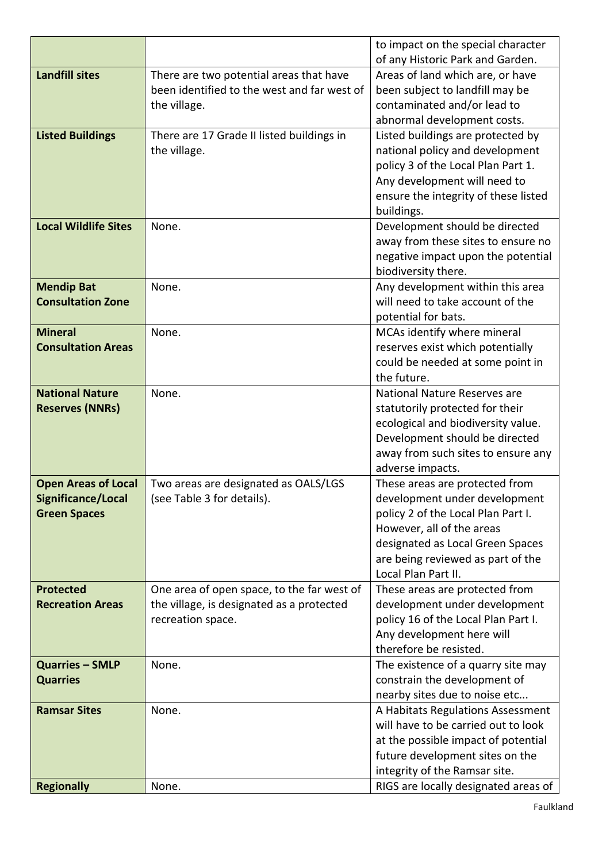|                             |                                             | to impact on the special character                 |  |
|-----------------------------|---------------------------------------------|----------------------------------------------------|--|
|                             |                                             | of any Historic Park and Garden.                   |  |
| <b>Landfill sites</b>       | There are two potential areas that have     | Areas of land which are, or have                   |  |
|                             | been identified to the west and far west of | been subject to landfill may be                    |  |
|                             | the village.                                | contaminated and/or lead to                        |  |
|                             |                                             | abnormal development costs.                        |  |
| <b>Listed Buildings</b>     | There are 17 Grade II listed buildings in   | Listed buildings are protected by                  |  |
|                             | the village.                                | national policy and development                    |  |
|                             |                                             | policy 3 of the Local Plan Part 1.                 |  |
|                             |                                             | Any development will need to                       |  |
|                             |                                             | ensure the integrity of these listed               |  |
|                             |                                             | buildings.                                         |  |
| <b>Local Wildlife Sites</b> | None.                                       | Development should be directed                     |  |
|                             |                                             | away from these sites to ensure no                 |  |
|                             |                                             | negative impact upon the potential                 |  |
|                             |                                             | biodiversity there.                                |  |
| <b>Mendip Bat</b>           | None.                                       | Any development within this area                   |  |
| <b>Consultation Zone</b>    |                                             | will need to take account of the                   |  |
|                             |                                             | potential for bats.                                |  |
| <b>Mineral</b>              | None.                                       | MCAs identify where mineral                        |  |
| <b>Consultation Areas</b>   |                                             | reserves exist which potentially                   |  |
|                             |                                             | could be needed at some point in                   |  |
|                             |                                             | the future.                                        |  |
| <b>National Nature</b>      | None.                                       | National Nature Reserves are                       |  |
| <b>Reserves (NNRs)</b>      |                                             | statutorily protected for their                    |  |
|                             |                                             | ecological and biodiversity value.                 |  |
|                             |                                             | Development should be directed                     |  |
|                             |                                             | away from such sites to ensure any                 |  |
| <b>Open Areas of Local</b>  | Two areas are designated as OALS/LGS        | adverse impacts.<br>These areas are protected from |  |
| Significance/Local          | (see Table 3 for details).                  | development under development                      |  |
| <b>Green Spaces</b>         |                                             | policy 2 of the Local Plan Part I.                 |  |
|                             |                                             | However, all of the areas                          |  |
|                             |                                             | designated as Local Green Spaces                   |  |
|                             |                                             | are being reviewed as part of the                  |  |
|                             |                                             | Local Plan Part II.                                |  |
| <b>Protected</b>            | One area of open space, to the far west of  | These areas are protected from                     |  |
| <b>Recreation Areas</b>     | the village, is designated as a protected   | development under development                      |  |
|                             | recreation space.                           | policy 16 of the Local Plan Part I.                |  |
|                             |                                             | Any development here will                          |  |
|                             |                                             | therefore be resisted.                             |  |
| <b>Quarries - SMLP</b>      | None.                                       | The existence of a quarry site may                 |  |
| <b>Quarries</b>             |                                             | constrain the development of                       |  |
|                             |                                             | nearby sites due to noise etc                      |  |
| <b>Ramsar Sites</b>         | None.                                       | A Habitats Regulations Assessment                  |  |
|                             |                                             | will have to be carried out to look                |  |
|                             |                                             | at the possible impact of potential                |  |
|                             |                                             | future development sites on the                    |  |
|                             |                                             | integrity of the Ramsar site.                      |  |
| <b>Regionally</b>           | None.                                       | RIGS are locally designated areas of               |  |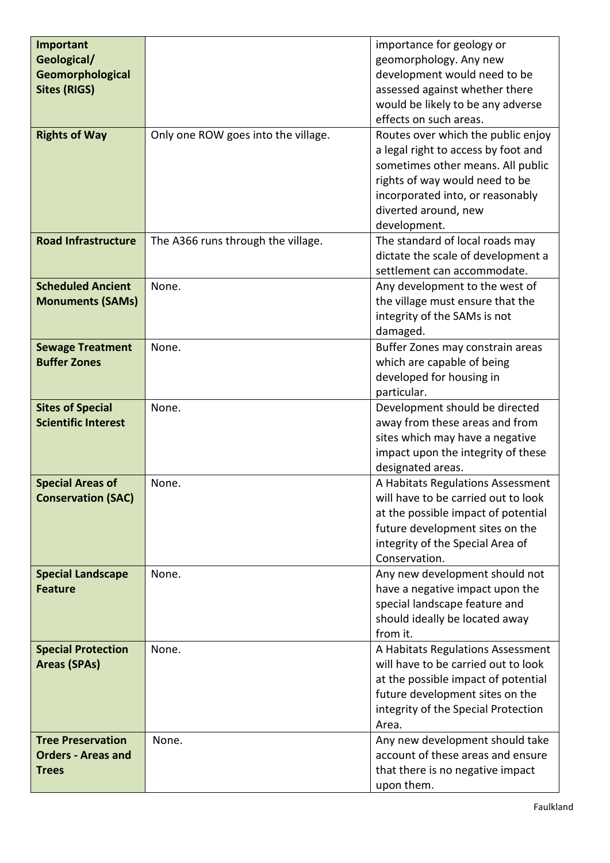| Important                  |                                     | importance for geology or           |
|----------------------------|-------------------------------------|-------------------------------------|
| Geological/                |                                     | geomorphology. Any new              |
| Geomorphological           |                                     | development would need to be        |
| <b>Sites (RIGS)</b>        |                                     | assessed against whether there      |
|                            |                                     | would be likely to be any adverse   |
|                            |                                     | effects on such areas.              |
| <b>Rights of Way</b>       | Only one ROW goes into the village. | Routes over which the public enjoy  |
|                            |                                     | a legal right to access by foot and |
|                            |                                     | sometimes other means. All public   |
|                            |                                     | rights of way would need to be      |
|                            |                                     | incorporated into, or reasonably    |
|                            |                                     | diverted around, new                |
|                            |                                     | development.                        |
| <b>Road Infrastructure</b> | The A366 runs through the village.  | The standard of local roads may     |
|                            |                                     | dictate the scale of development a  |
|                            |                                     | settlement can accommodate.         |
| <b>Scheduled Ancient</b>   | None.                               | Any development to the west of      |
| <b>Monuments (SAMs)</b>    |                                     | the village must ensure that the    |
|                            |                                     | integrity of the SAMs is not        |
|                            |                                     | damaged.                            |
| <b>Sewage Treatment</b>    | None.                               | Buffer Zones may constrain areas    |
| <b>Buffer Zones</b>        |                                     | which are capable of being          |
|                            |                                     | developed for housing in            |
|                            |                                     | particular.                         |
| <b>Sites of Special</b>    | None.                               | Development should be directed      |
| <b>Scientific Interest</b> |                                     | away from these areas and from      |
|                            |                                     | sites which may have a negative     |
|                            |                                     | impact upon the integrity of these  |
|                            |                                     | designated areas.                   |
| <b>Special Areas of</b>    | None.                               | A Habitats Regulations Assessment   |
| <b>Conservation (SAC)</b>  |                                     | will have to be carried out to look |
|                            |                                     | at the possible impact of potential |
|                            |                                     | future development sites on the     |
|                            |                                     | integrity of the Special Area of    |
|                            |                                     | Conservation.                       |
| <b>Special Landscape</b>   | None.                               | Any new development should not      |
| <b>Feature</b>             |                                     | have a negative impact upon the     |
|                            |                                     | special landscape feature and       |
|                            |                                     | should ideally be located away      |
|                            |                                     | from it.                            |
| <b>Special Protection</b>  | None.                               | A Habitats Regulations Assessment   |
| <b>Areas (SPAs)</b>        |                                     | will have to be carried out to look |
|                            |                                     | at the possible impact of potential |
|                            |                                     | future development sites on the     |
|                            |                                     | integrity of the Special Protection |
|                            |                                     | Area.                               |
| <b>Tree Preservation</b>   | None.                               | Any new development should take     |
| <b>Orders - Areas and</b>  |                                     | account of these areas and ensure   |
| <b>Trees</b>               |                                     | that there is no negative impact    |
|                            |                                     | upon them.                          |
|                            |                                     |                                     |